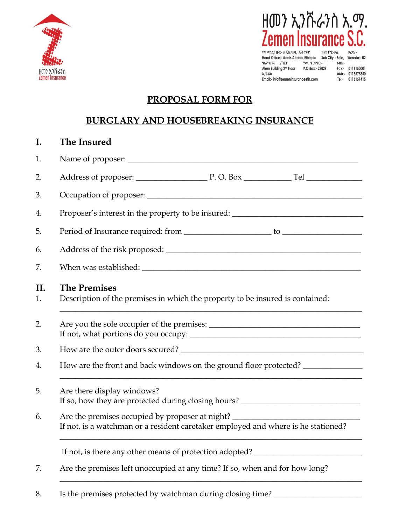



ዋና መስሪያ ቤት:- አዲስ አበባ. ኢትዮጵያ Head Office:- Addis Ababa, Ethiopia Sub City:- Bole, Wereda:- 02  $9A9^{\circ}$  U38  $2^{8}$  E4<br>  $2^{8}$  E4  $9^{m}$ ,  $m$ ,  $4^{n}$ C:<br>
Alem Building  $2^{nd}$  Floor P.O.Box:- 23029 4.hà:-Fax:- 0116150001 **ኢ**ሜይል ñAh:- 0115575850 Email:- info@zemeninsuranceeth.com Tel:- 0116151415

## **PROPOSAL FORM FOR**

## **BURGLARY AND HOUSEBREAKING INSURANCE**

# **I. The Insured** 1. Name of proposer: \_\_\_\_\_\_\_\_\_\_\_\_\_\_\_\_\_\_\_\_\_\_\_\_\_\_\_\_\_\_\_\_\_\_\_\_\_\_\_\_\_\_\_\_\_\_\_\_\_\_\_\_\_\_\_\_\_\_ 2. Address of proposer: \_\_\_\_\_\_\_\_\_\_\_\_\_\_\_\_\_\_ P. O. Box \_\_\_\_\_\_\_\_\_\_\_\_ Tel \_\_\_\_\_\_\_\_\_\_\_\_\_\_ 3. Occupation of proposer: \_\_\_\_\_\_\_\_\_\_\_\_\_\_\_\_\_\_\_\_\_\_\_\_\_\_\_\_\_\_\_\_\_\_\_\_\_\_\_\_\_\_\_\_\_\_\_\_\_\_\_\_\_\_ 4. Proposer's interest in the property to be insured: \_\_\_\_\_\_\_\_\_\_\_\_\_\_\_\_\_\_\_\_\_\_\_\_\_\_ 5. Period of Insurance required: from \_\_\_\_\_\_\_\_\_\_\_\_\_\_\_\_\_\_\_\_\_\_ to \_\_\_\_\_\_\_\_\_\_\_\_\_\_\_\_\_\_\_\_ 6. Address of the risk proposed: \_\_\_\_\_\_\_\_\_\_\_\_\_\_\_\_\_\_\_\_\_\_\_\_\_\_\_\_\_\_\_\_\_\_\_\_\_\_\_\_\_\_\_\_\_\_\_\_\_ 7. When was established: **II. The Premises** 1. Description of the premises in which the property to be insured is contained: \_\_\_\_\_\_\_\_\_\_\_\_\_\_\_\_\_\_\_\_\_\_\_\_\_\_\_\_\_\_\_\_\_\_\_\_\_\_\_\_\_\_\_\_\_\_\_\_\_\_\_\_\_\_\_\_\_\_\_\_\_\_\_\_\_\_\_\_\_\_\_\_\_\_\_\_ 2. Are you the sole occupier of the premises: \_\_\_\_\_\_\_\_\_\_\_\_\_\_\_\_\_\_\_\_\_\_\_\_\_\_\_\_\_\_\_\_\_\_ If not, what portions do you occupy: \_\_\_\_\_\_\_\_\_\_\_\_\_\_\_\_\_\_\_\_\_\_\_\_\_\_\_\_\_\_\_\_\_\_\_\_\_\_\_\_\_\_\_ 3. How are the outer doors secured? 4. How are the front and back windows on the ground floor protected? \_\_\_\_\_\_\_\_\_\_\_\_\_\_\_\_\_\_\_\_\_\_\_\_\_\_\_\_\_\_\_\_\_\_\_\_\_\_\_\_\_\_\_\_\_\_\_\_\_\_\_\_\_\_\_\_\_\_\_\_\_\_\_\_\_\_\_\_\_\_\_\_\_\_\_\_ 5. Are there display windows? If so, how they are protected during closing hours? \_\_\_\_\_\_\_\_\_\_\_\_\_\_\_\_\_\_\_\_\_\_\_\_\_\_\_\_ 6. Are the premises occupied by proposer at night? If not, is a watchman or a resident caretaker employed and where is he stationed? \_\_\_\_\_\_\_\_\_\_\_\_\_\_\_\_\_\_\_\_\_\_\_\_\_\_\_\_\_\_\_\_\_\_\_\_\_\_\_\_\_\_\_\_\_\_\_\_\_\_\_\_\_\_\_\_\_\_\_\_\_\_\_\_\_\_\_\_\_\_\_\_\_\_\_\_ If not, is there any other means of protection adopted? \_\_\_\_\_\_\_\_\_\_\_\_\_\_\_\_\_\_\_\_\_\_\_\_\_ 7. Are the premises left unoccupied at any time? If so, when and for how long? \_\_\_\_\_\_\_\_\_\_\_\_\_\_\_\_\_\_\_\_\_\_\_\_\_\_\_\_\_\_\_\_\_\_\_\_\_\_\_\_\_\_\_\_\_\_\_\_\_\_\_\_\_\_\_\_\_\_\_\_\_\_\_\_\_\_\_\_\_\_\_\_\_\_\_\_

8. Is the premises protected by watchman during closing time?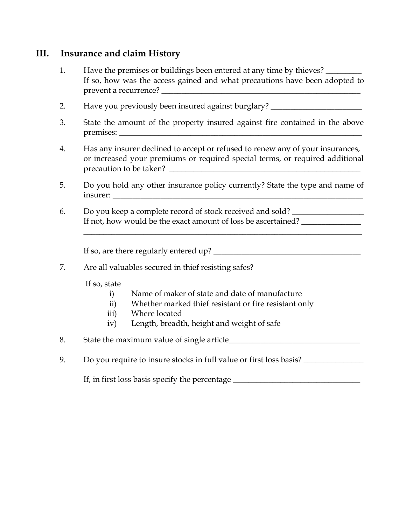## **III. Insurance and claim History**

- 1. Have the premises or buildings been entered at any time by thieves? If so, how was the access gained and what precautions have been adopted to prevent a recurrence?
- 2. Have you previously been insured against burglary?
- 3. State the amount of the property insured against fire contained in the above premises: \_\_\_\_\_\_\_\_\_\_\_\_\_\_\_\_\_\_\_\_\_\_\_\_\_\_\_\_\_\_\_\_\_\_\_\_\_\_\_\_\_\_\_\_\_\_\_\_\_\_\_\_\_\_\_\_\_\_\_\_\_
- 4. Has any insurer declined to accept or refused to renew any of your insurances, or increased your premiums or required special terms, or required additional precaution to be taken?
- 5. Do you hold any other insurance policy currently? State the type and name of insurer:

\_\_\_\_\_\_\_\_\_\_\_\_\_\_\_\_\_\_\_\_\_\_\_\_\_\_\_\_\_\_\_\_\_\_\_\_\_\_\_\_\_\_\_\_\_\_\_\_\_\_\_\_\_\_\_\_\_\_\_\_\_\_\_\_\_\_\_\_\_\_

6. Do you keep a complete record of stock received and sold? If not, how would be the exact amount of loss be ascertained?

If so, are there regularly entered up? \_\_\_\_\_\_\_\_\_\_\_\_\_\_\_\_\_\_\_\_\_\_\_\_\_\_\_\_\_\_\_\_\_\_\_\_\_

7. Are all valuables secured in thief resisting safes?

If so, state

- i) Name of maker of state and date of manufacture
- ii) Whether marked thief resistant or fire resistant only
- iii) Where located
- iv) Length, breadth, height and weight of safe

8. State the maximum value of single article\_\_\_\_\_\_\_\_\_\_\_\_\_\_\_\_\_\_\_\_\_\_\_\_\_\_\_\_\_\_\_\_\_

9. Do you require to insure stocks in full value or first loss basis?

If, in first loss basis specify the percentage \_\_\_\_\_\_\_\_\_\_\_\_\_\_\_\_\_\_\_\_\_\_\_\_\_\_\_\_\_\_\_\_\_